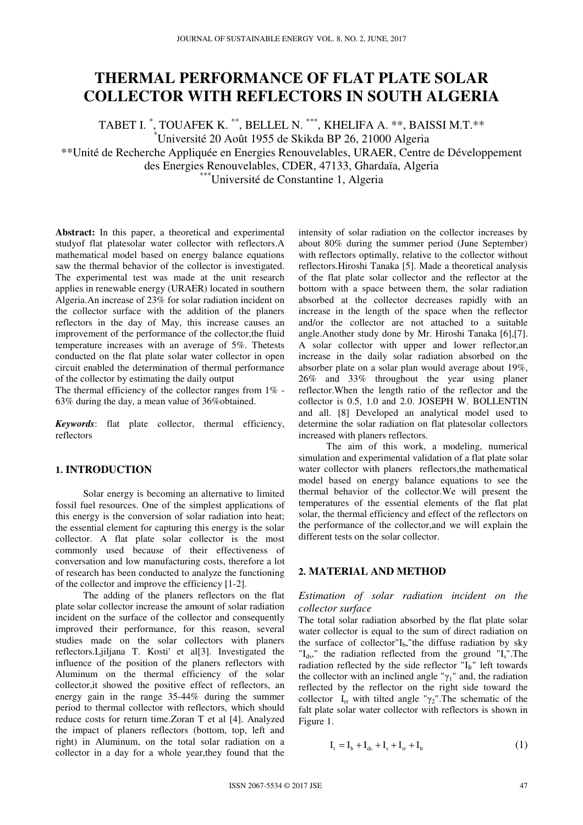# **THERMAL PERFORMANCE OF FLAT PLATE SOLAR COLLECTOR WITH REFLECTORS IN SOUTH ALGERIA**

TABET I. \* , TOUAFEK K. \*\*, BELLEL N. \*\*\*, KHELIFA A. \*\*, BAISSI M.T.\*\* \*Université 20 Août 1955 de Skikda BP 26, 21000 Algeria \*\*Unité de Recherche Appliquée en Energies Renouvelables, URAER, Centre de Développement

des Energies Renouvelables, CDER, 47133, Ghardaïa, Algeria

\*\*\*Université de Constantine 1, Algeria

**Abstract:** In this paper, a theoretical and experimental studyof flat platesolar water collector with reflectors.A mathematical model based on energy balance equations saw the thermal behavior of the collector is investigated. The experimental test was made at the unit research applies in renewable energy (URAER) located in southern Algeria.An increase of 23% for solar radiation incident on the collector surface with the addition of the planers reflectors in the day of May, this increase causes an improvement of the performance of the collector,the fluid temperature increases with an average of 5%. Thetests conducted on the flat plate solar water collector in open circuit enabled the determination of thermal performance of the collector by estimating the daily output

The thermal efficiency of the collector ranges from 1% - 63% during the day, a mean value of 36%obtained.

*Keywords*: flat plate collector, thermal efficiency, reflectors

## **1. INTRODUCTION**

Solar energy is becoming an alternative to limited fossil fuel resources. One of the simplest applications of this energy is the conversion of solar radiation into heat; the essential element for capturing this energy is the solar collector. A flat plate solar collector is the most commonly used because of their effectiveness of conversation and low manufacturing costs, therefore a lot of research has been conducted to analyze the functioning of the collector and improve the efficiency [1-2].

The adding of the planers reflectors on the flat plate solar collector increase the amount of solar radiation incident on the surface of the collector and consequently improved their performance, for this reason, several studies made on the solar collectors with planers reflectors.Ljiljana T. Kosti' et al[3]. Investigated the influence of the position of the planers reflectors with Aluminum on the thermal efficiency of the solar collector,it showed the positive effect of reflectors, an energy gain in the range 35-44% during the summer period to thermal collector with reflectors, which should reduce costs for return time.Zoran T et al [4]. Analyzed the impact of planers reflectors (bottom, top, left and right) in Aluminum, on the total solar radiation on a collector in a day for a whole year,they found that the

intensity of solar radiation on the collector increases by about 80% during the summer period (June September) with reflectors optimally, relative to the collector without reflectors.Hiroshi Tanaka [5]. Made a theoretical analysis of the flat plate solar collector and the reflector at the bottom with a space between them, the solar radiation absorbed at the collector decreases rapidly with an increase in the length of the space when the reflector and/or the collector are not attached to a suitable angle.Another study done by Mr. Hiroshi Tanaka [6],[7]. A solar collector with upper and lower reflector,an increase in the daily solar radiation absorbed on the absorber plate on a solar plan would average about 19%, 26% and 33% throughout the year using planer reflector.When the length ratio of the reflector and the collector is 0.5, 1.0 and 2.0. JOSEPH W. BOLLENTIN and all. [8] Developed an analytical model used to determine the solar radiation on flat platesolar collectors increased with planers reflectors.

The aim of this work, a modeling, numerical simulation and experimental validation of a flat plate solar water collector with planers reflectors,the mathematical model based on energy balance equations to see the thermal behavior of the collector.We will present the temperatures of the essential elements of the flat plat solar, the thermal efficiency and effect of the reflectors on the performance of the collector,and we will explain the different tests on the solar collector.

# **2. MATERIAL AND METHOD**

# *Estimation of solar radiation incident on the collector surface*

The total solar radiation absorbed by the flat plate solar water collector is equal to the sum of direct radiation on the surface of collector" $I<sub>b</sub>$ ,"the diffuse radiation by sky  $T_{ds}$ ," the radiation reflected from the ground  $T_s$ . The radiation reflected by the side reflector  $T_{Ir}$ " left towards the collector with an inclined angle " $\gamma_1$ " and, the radiation reflected by the reflector on the right side toward the collector  $I_{rr}$  with tilted angle " $\gamma_2$ ". The schematic of the falt plate solar water collector with reflectors is shown in Figure 1.

$$
I_{t} = I_{b} + I_{dc} + I_{s} + I_{rr} + I_{lr}
$$
 (1)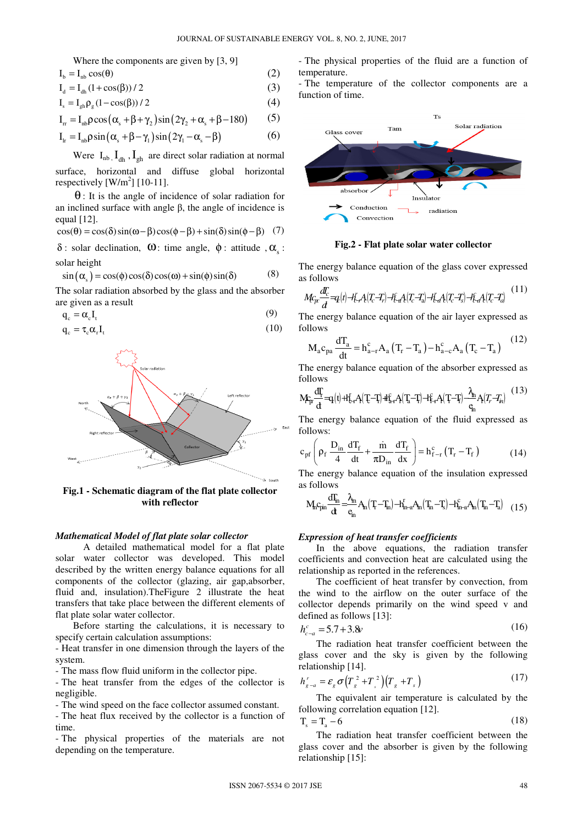Where the components are given by [3, 9]

$$
I_{b} = I_{nb} \cos(\theta) \tag{2}
$$

$$
I_d = I_{dh} (1 + \cos(\beta)) / 2 \tag{3}
$$

$$
I_s = I_{gh} \rho_g (1 - \cos(\beta)) / 2 \tag{4}
$$

$$
I_{rr} = I_{nb} \rho \cos(\alpha_s + \beta + \gamma_2) \sin(2\gamma_2 + \alpha_s + \beta - 180)
$$
 (5)

$$
I_{lr} = I_{nb}\rho\sin(\alpha_s + \beta - \gamma_l)\sin(2\gamma_l - \alpha_s - \beta)
$$
 (6)

Were  $I_{nb}$ ,  $I_{dh}$ ,  $I_{gh}$  are direct solar radiation at normal

surface, horizontal and diffuse global horizontal respectively  $[W/m^2]$  [10-11].

 $\theta$ : It is the angle of incidence of solar radiation for an inclined surface with angle β, the angle of incidence is equal [12].

 $\cos(\theta) = \cos(\delta)\sin(\omega - \beta)\cos(\phi - \beta) + \sin(\delta)\sin(\phi - \beta)$  (7)

δ: solar declination, **ω**: time angle,  $\phi$ : attitude ,  $\alpha_s$ : solar height

$$
\sin(\alpha_s) = \cos(\phi)\cos(\delta)\cos(\omega) + \sin(\phi)\sin(\delta) \tag{8}
$$

The solar radiation absorbed by the glass and the absorber are given as a result

$$
q_c = \alpha_c I_t \tag{9}
$$

$$
q_c = \tau_c \alpha_r I_t \tag{10}
$$



**Fig.1 - Schematic diagram of the flat plate collector with reflector** 

#### *Mathematical Model of flat plate solar collector*

A detailed mathematical model for a flat plate solar water collector was developed. This model described by the written energy balance equations for all components of the collector (glazing, air gap,absorber, fluid and, insulation).TheFigure 2 illustrate the heat transfers that take place between the different elements of flat plate solar water collector.

Before starting the calculations, it is necessary to specify certain calculation assumptions:

- Heat transfer in one dimension through the layers of the system.

- The mass flow fluid uniform in the collector pipe.

- The heat transfer from the edges of the collector is negligible.

- The wind speed on the face collector assumed constant.

- The heat flux received by the collector is a function of time.

- The physical properties of the materials are not depending on the temperature.

- The physical properties of the fluid are a function of temperature.

- The temperature of the collector components are a function of time.



**Fig.2 - Flat plate solar water collector** 

The energy balance equation of the glass cover expressed as follows

$$
M_{c_{F}}\frac{dC}{dt} = q(t) - H_{c}A(T_{c}-T_{r}) - H_{c}A(T_{c}-T_{a}) - H_{c}A(T_{c}-T_{s}) - H_{c}A(T_{c}-T_{a}) \tag{11}
$$

The energy balance equation of the air layer expressed as follows

$$
M_{a}c_{pa}\frac{dT_{a}}{dt} = h_{a-r}^{c}A_{a}(T_{r} - T_{a}) - h_{a-c}^{c}A_{a}(T_{c} - T_{a})
$$
 (12)

The energy balance equation of the absorber expressed as follows

$$
M_{F_{\rm I\!P}} \frac{d\Gamma}{dt} = q(t) + H_{t\!-\!t}^{\Gamma} A(T-t) + H_{t\!+\!t}^{\Gamma} A(T_t - T) - H_{t\!-\!t}^{\Gamma} A(T-t) - \frac{\lambda_n}{e_n} A(T_r - T_n) \tag{13}
$$

The energy balance equation of the fluid expressed as follows:

$$
c_{pf}\left(\rho_f \frac{D_{in}}{4} \frac{dT_f}{dt} + \frac{\dot{m}}{\pi D_{in}} \frac{dT_f}{dx}\right) = h_{f-r}^c (T_r - T_f)
$$
(14)

The energy balance equation of the insulation expressed as follows

$$
M_n c_{\!\hat{I}^{\rm in}} \frac{dI_{\!in}^r}{dt} \! = \! \frac{\lambda_{\!in}}{e_{\!in}} A_n (T_{\!r} \! - \! T_{\!n}) \! - \! h_{\!n\!-\!a}^r \! A_n (T_{\!n} \! - \! T_{\!s}) \! - \! h_{\!n\!-\!a}^c \! A_n (T_{\!n} \! - \! T_{\!a}) \quad (15)
$$

#### *Expression of heat transfer coefficients*

In the above equations, the radiation transfer coefficients and convection heat are calculated using the relationship as reported in the references.

The coefficient of heat transfer by convection, from the wind to the airflow on the outer surface of the collector depends primarily on the wind speed v and defined as follows [13]:

$$
h_{c-a}^c = 5.7 + 3.8v \tag{16}
$$

The radiation heat transfer coefficient between the glass cover and the sky is given by the following relationship [14].

$$
h_{g-a}^r = \varepsilon_g \sigma \left( T_g^2 + T_g^2 \right) \left( T_g + T_s \right) \tag{17}
$$

The equivalent air temperature is calculated by the following correlation equation [12].

$$
T_s = T_a - 6 \tag{18}
$$

The radiation heat transfer coefficient between the glass cover and the absorber is given by the following relationship [15]: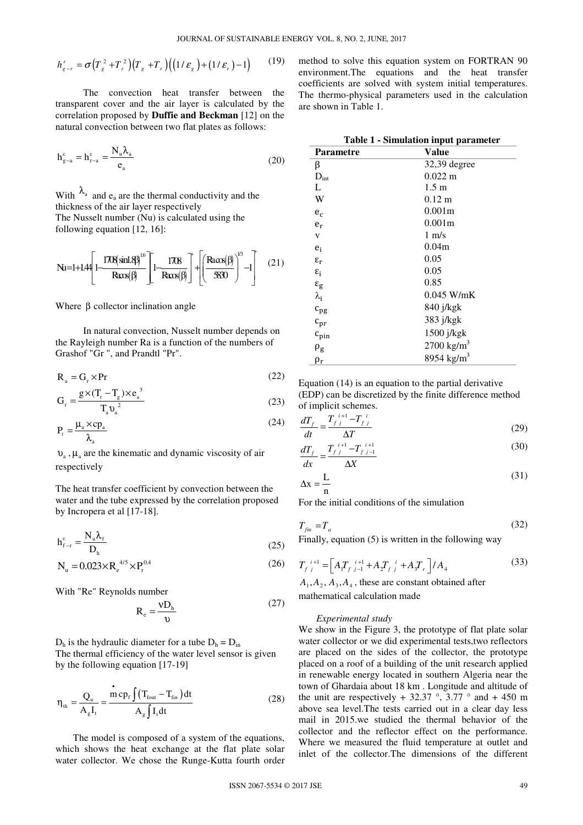$$
h'_{g-r} = \sigma \big(T_g^2 + T_r^2\big) \big(T_g + T_r\big) \big( \big(1/\varepsilon_g\big) + \big(1/\varepsilon_r\big) - 1 \big) \qquad (19)
$$

The convection heat transfer between the transparent cover and the air layer is calculated by the correlation proposed by **Duffie and Beckman** [12] on the natural convection between two flat plates as follows:

$$
h_{g-a}^{c} = h_{r-a}^{c} = \frac{N_u \lambda_a}{e_a}
$$
 (20)

With  $\lambda_a$  and  $e_a$  are the thermal conductivity and the thickness of the air layer respectively The Nusselt number (Nu) is calculated using the following equation [12, 16]:

$$
Ni=1+1.44\left[1-\frac{1708(\sin 1.8\beta)^{1.6}}{\text{R}\cos(\beta)}\right]\left[1-\frac{1708}{\text{R}\cos(\beta)}\right]+\left[\left(\frac{\text{R}\cos(\beta)}{380}\right)^{1/3}-1\right]
$$
(21)

Where β collector inclination angle

In natural convection, Nusselt number depends on the Rayleigh number Ra is a function of the numbers of Grashof "Gr ", and Prandtl "Pr".

$$
R_a = G_r \times Pr \tag{22}
$$

$$
G_r = \frac{g \times (T_r - T_g) \times e_a^3}{T_a v_a^2}
$$
 (23)

$$
P_r = \frac{\mu_a \times cp_a}{\lambda_a} \tag{24}
$$

 $\nu_a$ ,  $\mu_a$  are the kinematic and dynamic viscosity of air respectively

The heat transfer coefficient by convection between the water and the tube expressed by the correlation proposed by Incropera et al [17-18].

$$
h_{f-r}^{c} = \frac{N_{u} \lambda_{f}}{D_{h}}
$$
 (25)

$$
N_{u} = 0.023 \times R_{e}^{4/5} \times P_{r}^{0.4}
$$
 (26)

With "Re" Reynolds number

$$
R_e = \frac{vD_h}{v}
$$
 (27)

 $D_h$  is the hydraulic diameter for a tube  $D_h = D_{in}$ The thermal efficiency of the water level sensor is given by the following equation [17-19]

$$
\eta_{\text{th}} = \frac{Q_{\text{u}}}{A_{g}I_{\text{t}}} = \frac{\mathbf{\dot{m}} \mathbf{c} p_{\text{f}} \int (T_{\text{fout}} - T_{\text{fin}}) dt}{A_{g} \int I_{\text{t}} dt}
$$
(28)

The model is composed of a system of the equations, which shows the heat exchange at the flat plate solar water collector. We chose the Runge-Kutta fourth order method to solve this equation system on FORTRAN 90 environment.The equations and the heat transfer coefficients are solved with system initial temperatures. The thermo-physical parameters used in the calculation are shown in Table 1.

| <b>Table 1 - Simulation input parameter</b> |                       |  |
|---------------------------------------------|-----------------------|--|
| <b>Parametre</b>                            | Value                 |  |
| β                                           | $32,39$ degree        |  |
| $D_{int}$                                   | $0.022 \text{ m}$     |  |
| L                                           | $1.5 \text{ m}$       |  |
| W                                           | $0.12 \;{\rm m}$      |  |
| $e_c$                                       | 0.001 <sub>m</sub>    |  |
| $e_r$                                       | 0.001m                |  |
| v                                           | $1 \text{ m/s}$       |  |
| $e_i$                                       | 0.04m                 |  |
| $\varepsilon_{\rm r}$                       | 0.05                  |  |
| $\varepsilon_i$                             | 0.05                  |  |
| $\epsilon_{\rm g}$                          | 0.85                  |  |
| $\lambda_i$                                 | $0.045$ W/mK          |  |
| $c_{pg}$                                    | 840 j/kgk             |  |
| $c_{pr}$                                    | 383 j/kgk             |  |
| $c_{\text{pin}}$                            | 1500 j/kgk            |  |
| $\rho_{\rm g}$                              | $2700 \text{ kg/m}^3$ |  |
| $\rho_{\rm r}$                              | 8954 $kg/m3$          |  |

Equation (14) is an equation to the partial derivative (EDP) can be discretized by the finite difference method of implicit schemes.

$$
\frac{dT_{f}}{dt} = \frac{T_{f}^{i+1} - T_{f}^{i}}{\Delta T}
$$
\n(29)

$$
\frac{dT_f}{dx} = \frac{T_{fj}^{i+1} - T_{fj-1}^{i+1}}{\Delta X}
$$
(30)

$$
\Delta x = \frac{L}{n} \tag{31}
$$

For the initial conditions of the simulation

$$
T_{fin} = T_a \tag{32}
$$

Finally, equation (5) is written in the following way

$$
T_{j}^{i+1} = \left[A_{i}T_{j}^{i+1} + A_{i}T_{j}^{i} + A_{i}T_{r}\right]/A_{4}
$$
\n(33)

 $A_1, A_2, A_3, A_4$ , these are constant obtained after mathematical calculation made

#### *Experimental study*

We show in the Figure 3, the prototype of flat plate solar water collector or we did experimental tests,two reflectors are placed on the sides of the collector, the prototype placed on a roof of a building of the unit research applied in renewable energy located in southern Algeria near the town of Ghardaia about 18 km . Longitude and altitude of the unit are respectively + 32.37  $\degree$ , 3.77  $\degree$  and + 450 m above sea level.The tests carried out in a clear day less mail in 2015.we studied the thermal behavior of the collector and the reflector effect on the performance. Where we measured the fluid temperature at outlet and inlet of the collector.The dimensions of the different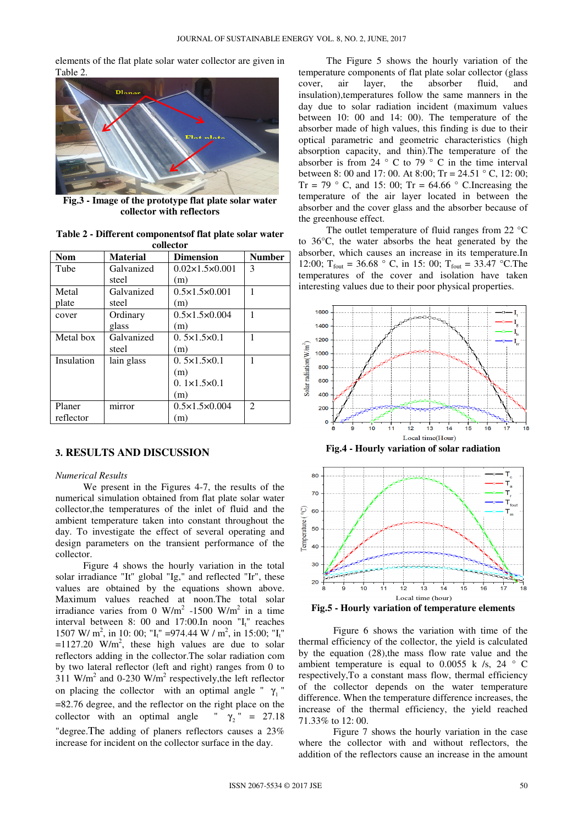elements of the flat plate solar water collector are given in Table 2.



**Fig.3 - Image of the prototype flat plate solar water collector with reflectors** 

**Table 2 - Different componentsof flat plate solar water collector** 

| Nom        | <b>Material</b> | <b>Dimension</b>               | <b>Number</b>               |
|------------|-----------------|--------------------------------|-----------------------------|
| Tube       | Galvanized      | $0.02 \times 1.5 \times 0.001$ | 3                           |
|            | steel           | (m)                            |                             |
| Metal      | Galvanized      | $0.5 \times 1.5 \times 0.001$  |                             |
| plate      | steel           | (m)                            |                             |
| cover      | Ordinary        | $0.5 \times 1.5 \times 0.004$  |                             |
|            | glass           | (m)                            |                             |
| Metal box  | Galvanized      | $0.5 \times 1.5 \times 0.1$    |                             |
|            | steel           | (m)                            |                             |
| Insulation | lain glass      | $0.5 \times 1.5 \times 0.1$    |                             |
|            |                 | (m)                            |                             |
|            |                 | $0.1 \times 1.5 \times 0.1$    |                             |
|            |                 | (m)                            |                             |
| Planer     | mirror          | $0.5 \times 1.5 \times 0.004$  | $\mathcal{D}_{\mathcal{L}}$ |
| reflector  |                 | (m)                            |                             |

## **3. RESULTS AND DISCUSSION**

#### *Numerical Results*

We present in the Figures 4-7, the results of the numerical simulation obtained from flat plate solar water collector,the temperatures of the inlet of fluid and the ambient temperature taken into constant throughout the day. To investigate the effect of several operating and design parameters on the transient performance of the collector.

Figure 4 shows the hourly variation in the total solar irradiance "It" global "Ig," and reflected "Ir", these values are obtained by the equations shown above. Maximum values reached at noon.The total solar irradiance varies from 0 W/m<sup>2</sup> -1500 W/m<sup>2</sup> in a time interval between 8: 00 and 17:00.In noon "It" reaches 1507 W/ m<sup>2</sup>, in 10: 00; "I<sub>t</sub>" =974.44 W / m<sup>2</sup>, in 15:00; "I<sub>t</sub>"  $=1127.20$  W/m<sup>2</sup>, these high values are due to solar reflectors adding in the collector.The solar radiation com by two lateral reflector (left and right) ranges from 0 to  $311$  W/m<sup>2</sup> and 0-230 W/m<sup>2</sup> respectively, the left reflector on placing the collector with an optimal angle "  $\gamma_1$ " =82.76 degree, and the reflector on the right place on the collector with an optimal angle "  $\gamma$ ," = 27.18 "degree.The adding of planers reflectors causes a 23% increase for incident on the collector surface in the day.

The Figure 5 shows the hourly variation of the temperature components of flat plate solar collector (glass cover, air layer, the absorber fluid, and insulation),temperatures follow the same manners in the day due to solar radiation incident (maximum values between 10: 00 and 14: 00). The temperature of the absorber made of high values, this finding is due to their optical parametric and geometric characteristics (high absorption capacity, and thin).The temperature of the absorber is from 24  $\degree$  C to 79  $\degree$  C in the time interval between 8: 00 and 17: 00. At 8:00; Tr = 24.51 ° C, 12: 00; Tr = 79 ° C, and 15: 00; Tr = 64.66 ° C.Increasing the temperature of the air layer located in between the absorber and the cover glass and the absorber because of the greenhouse effect.

The outlet temperature of fluid ranges from 22 °C to 36°C, the water absorbs the heat generated by the absorber, which causes an increase in its temperature.In 12:00;  $T_{\text{fout}} = 36.68$  ° C, in 15: 00;  $T_{\text{fout}} = 33.47$  °C. The temperatures of the cover and isolation have taken interesting values due to their poor physical properties.





Figure 6 shows the variation with time of the thermal efficiency of the collector, the yield is calculated by the equation (28),the mass flow rate value and the ambient temperature is equal to 0.0055 k /s, 24  $\degree$  C respectively,To a constant mass flow, thermal efficiency of the collector depends on the water temperature difference. When the temperature difference increases, the increase of the thermal efficiency, the yield reached 71.33% to 12: 00.

Figure 7 shows the hourly variation in the case where the collector with and without reflectors, the addition of the reflectors cause an increase in the amount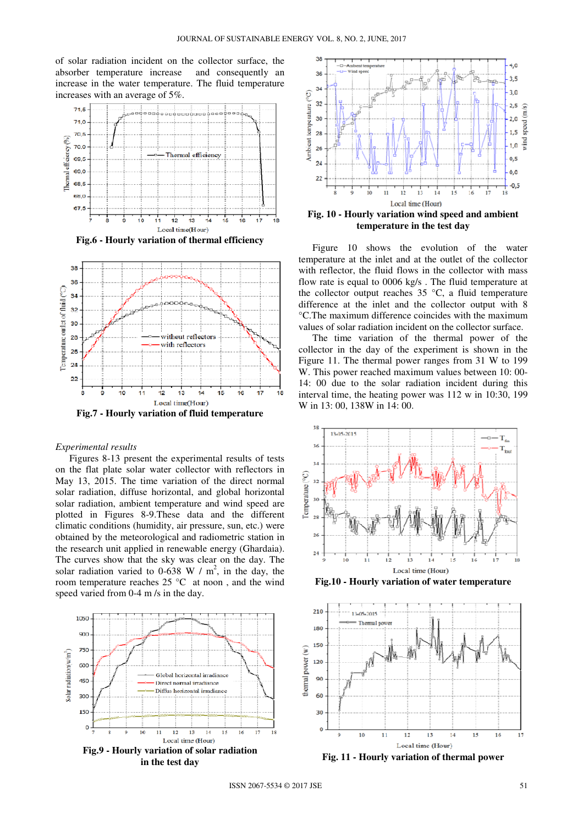of solar radiation incident on the collector surface, the absorber temperature increase and consequently an increase in the water temperature. The fluid temperature increases with an average of 5%.





**Fig.7 - Hourly variation of fluid temperature** 

## *Experimental results*

Figures 8-13 present the experimental results of tests on the flat plate solar water collector with reflectors in May 13, 2015. The time variation of the direct normal solar radiation, diffuse horizontal, and global horizontal solar radiation, ambient temperature and wind speed are plotted in Figures 8-9.These data and the different climatic conditions (humidity, air pressure, sun, etc.) were obtained by the meteorological and radiometric station in the research unit applied in renewable energy (Ghardaia). The curves show that the sky was clear on the day. The solar radiation varied to 0-638 W /  $m^2$ , in the day, the room temperature reaches 25 °C at noon , and the wind speed varied from 0-4 m /s in the day.





**Fig. 10 - Hourly variation wind speed and ambient temperature in the test day** 

Figure 10 shows the evolution of the water temperature at the inlet and at the outlet of the collector with reflector, the fluid flows in the collector with mass flow rate is equal to 0006 kg/s . The fluid temperature at the collector output reaches  $35^{\circ}$ C, a fluid temperature difference at the inlet and the collector output with 8 °C.The maximum difference coincides with the maximum values of solar radiation incident on the collector surface.

The time variation of the thermal power of the collector in the day of the experiment is shown in the Figure 11. The thermal power ranges from 31 W to 199 W. This power reached maximum values between 10: 00- 14: 00 due to the solar radiation incident during this interval time, the heating power was 112 w in 10:30, 199 W in 13: 00, 138W in 14: 00.



**Fig.10 - Hourly variation of water temperature** 



**Fig. 11 - Hourly variation of thermal power**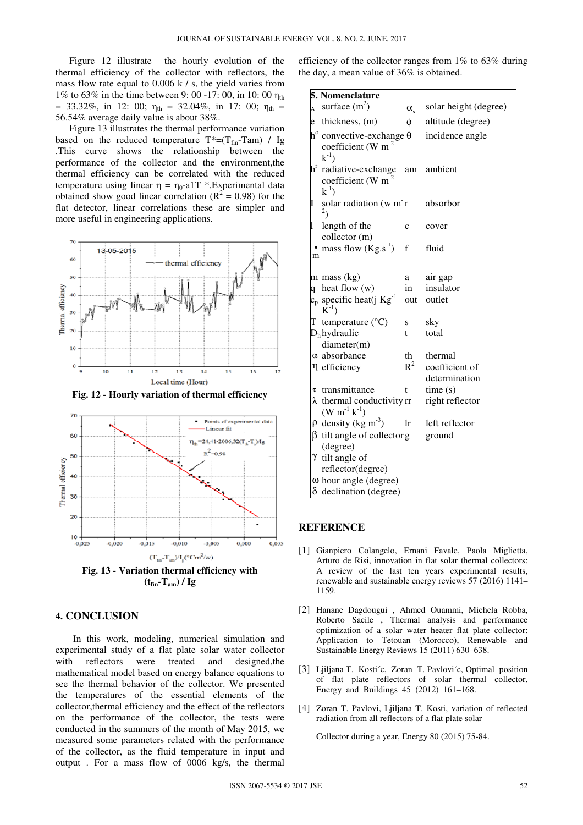Figure 12 illustrate the hourly evolution of the thermal efficiency of the collector with reflectors, the mass flow rate equal to 0.006 k / s, the yield varies from 1% to 63% in the time between 9: 00 -17: 00, in 10: 00  $\eta_{th}$  $= 33.32\%$ , in 12: 00;  $\eta_{\text{th}} = 32.04\%$ , in 17: 00;  $\eta_{\text{th}} =$ 56.54% average daily value is about 38%.

Figure 13 illustrates the thermal performance variation based on the reduced temperature  $T^*=(T_{fin}-Tam)$  / Ig .This curve shows the relationship between the performance of the collector and the environment,the thermal efficiency can be correlated with the reduced temperature using linear  $η = η_0$ -a1T \*.Experimental data obtained show good linear correlation ( $R^2 = 0.98$ ) for the flat detector, linear correlations these are simpler and more useful in engineering applications.



**Fig. 12 - Hourly variation of thermal efficiency** 



**Fig. 13 - Variation thermal efficiency with**   $(t_{fin} - T_{am}) / Ig$ 

# **4. CONCLUSION**

In this work, modeling, numerical simulation and experimental study of a flat plate solar water collector with reflectors were treated and designed,the mathematical model based on energy balance equations to see the thermal behavior of the collector. We presented the temperatures of the essential elements of the collector,thermal efficiency and the effect of the reflectors on the performance of the collector, the tests were conducted in the summers of the month of May 2015, we measured some parameters related with the performance of the collector, as the fluid temperature in input and output . For a mass flow of 0006 kg/s, the thermal efficiency of the collector ranges from 1% to 63% during the day, a mean value of 36% is obtained.

|       | 5. Nomenclature                                                             |                  |                                 |
|-------|-----------------------------------------------------------------------------|------------------|---------------------------------|
| A     | surface $(m^2)$                                                             | $\alpha_{\rm s}$ | solar height (degree)           |
| e     | thickness, (m)                                                              | φ                | altitude (degree)               |
|       | $h^c$ convective-exchange $\theta$<br>coefficient (W $m^{-2}$<br>$k^{-1}$ ) |                  | incidence angle                 |
| $h^r$ | radiative-exchange<br>coefficient (W $m^{-2}$<br>$k^{-1}$ )                 | am               | ambient                         |
| I     | solar radiation (w m r<br>$^{2}$                                            |                  | absorbor                        |
| 1     | length of the<br>collector (m)                                              | C                | cover                           |
| m     | • mass flow $(Kg.s^{-1})$                                                   | f                | fluid                           |
|       | m mass (kg)                                                                 | a                | air gap                         |
| q     | heat flow $(w)$                                                             | in               | insulator                       |
|       | $c_p$ specific heat(j $Kg^{-1}$<br>$K^{-1}$                                 |                  | out outlet                      |
|       | T temperature $(^{\circ}C)$                                                 | S                | sky                             |
|       | $Dh$ hydraulic                                                              | t                | total                           |
|       | diameter(m)                                                                 |                  |                                 |
|       | $\alpha$ absorbance                                                         | th               | thermal                         |
|       | η efficiency                                                                | $R^2$            | coefficient of<br>determination |
|       | $\tau$ transmittance                                                        | t                | time(s)                         |
|       | $\lambda$ thermal conductivity rr<br>$(W m^{-1} k^{-1})$                    |                  | right reflector                 |
|       | $\rho$ density (kg m <sup>-3</sup> )                                        | $\ln$            | left reflector                  |
|       | $\beta$ tilt angle of collector g<br>(degree)                               |                  | ground                          |
|       | Y tilt angle of                                                             |                  |                                 |
|       | reflector(degree)                                                           |                  |                                 |
|       | $\omega$ hour angle (degree)                                                |                  |                                 |
|       | $\delta$ declination (degree)                                               |                  |                                 |

#### **REFERENCE**

- [1] Gianpiero Colangelo, Ernani Favale, Paola Miglietta, Arturo de Risi, innovation in flat solar thermal collectors: A review of the last ten years experimental results, renewable and sustainable energy reviews 57 (2016) 1141– 1159.
- [2] Hanane Dagdougui , Ahmed Ouammi, Michela Robba, Roberto Sacile , Thermal analysis and performance optimization of a solar water heater flat plate collector: Application to Tetouan (Morocco), Renewable and Sustainable Energy Reviews 15 (2011) 630–638.
- [3] Ljiljana T. Kosti´c, Zoran T. Pavlovi´c, Optimal position of flat plate reflectors of solar thermal collector, Energy and Buildings 45 (2012) 161–168.
- [4] Zoran T. Pavlovi, Ljiljana T. Kosti, variation of reflected radiation from all reflectors of a flat plate solar

Collector during a year, Energy 80 (2015) 75-84.